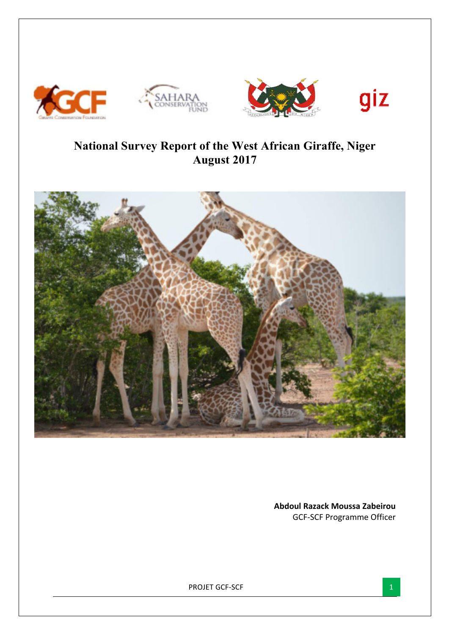







# **National Survey Report of the West African Giraffe, Niger August 2017**



**Abdoul Razack Moussa Zabeirou** GCF-SCF Programme Officer

PROJET GCF-SCF 1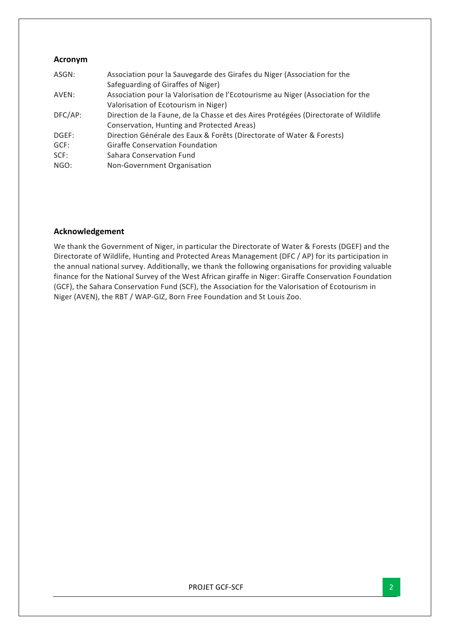# **Acronym**

| ASGN:   | Association pour la Sauvegarde des Girafes du Niger (Association for the            |
|---------|-------------------------------------------------------------------------------------|
|         | Safeguarding of Giraffes of Niger)                                                  |
| AVEN:   | Association pour la Valorisation de l'Ecotourisme au Niger (Association for the     |
|         | Valorisation of Ecotourism in Niger)                                                |
| DFC/AP: | Direction de la Faune, de la Chasse et des Aires Protégées (Directorate of Wildlife |
|         | Conservation, Hunting and Protected Areas)                                          |
| DGEF:   | Direction Générale des Eaux & Forêts (Directorate of Water & Forests)               |
| GCF:    | <b>Giraffe Conservation Foundation</b>                                              |
| SCF:    | Sahara Conservation Fund                                                            |
| NGO:    | Non-Government Organisation                                                         |
|         |                                                                                     |

# **Acknowledgement**

We thank the Government of Niger, in particular the Directorate of Water & Forests (DGEF) and the Directorate of Wildlife, Hunting and Protected Areas Management (DFC / AP) for its participation in the annual national survey. Additionally, we thank the following organisations for providing valuable finance for the National Survey of the West African giraffe in Niger: Giraffe Conservation Foundation (GCF), the Sahara Conservation Fund (SCF), the Association for the Valorisation of Ecotourism in Niger (AVEN), the RBT / WAP-GIZ, Born Free Foundation and St Louis Zoo.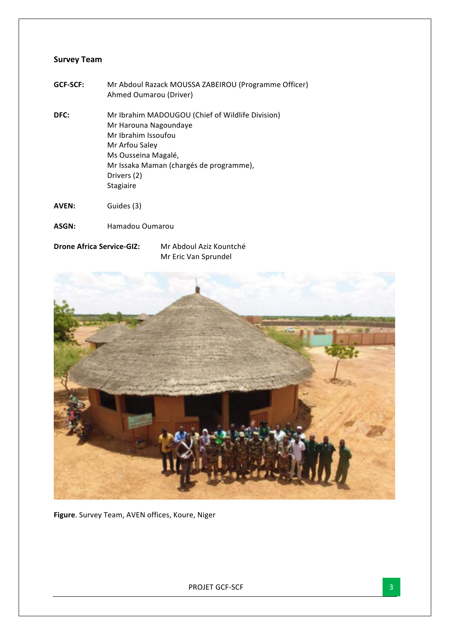# **Survey Team**

- **GCF-SCF:** Mr Abdoul Razack MOUSSA ZABEIROU (Programme Officer) Ahmed Oumarou (Driver)
- **DFC:** Mr Ibrahim MADOUGOU (Chief of Wildlife Division) Mr Harouna Nagoundaye Mr Ibrahim Issoufou Mr Arfou Saley Ms Ousseina Magalé, Mr Issaka Maman (chargés de programme), Drivers (2) Stagiaire
- AVEN: Guides (3)
- **ASGN:**  Hamadou Oumarou
- **Drone Africa Service-GIZ:** Mr Abdoul Aziz Kountché

Mr Eric Van Sprundel



**Figure**. Survey Team, AVEN offices, Koure, Niger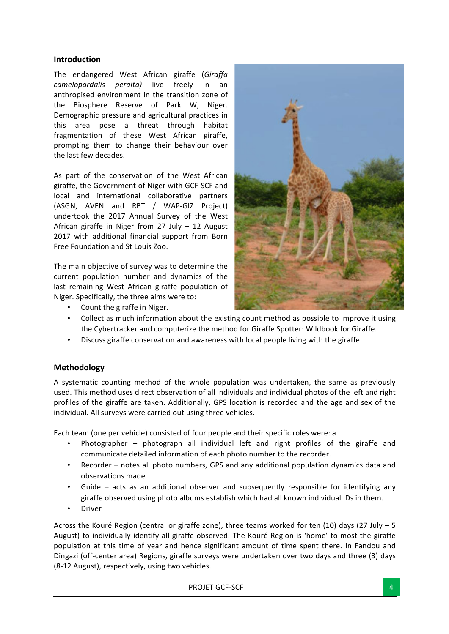## **Introduction**

The endangered West African giraffe (Giraffa *camelopardalis peralta)* live freely in an anthropised environment in the transition zone of the Biosphere Reserve of Park W, Niger. Demographic pressure and agricultural practices in this area pose a threat through habitat fragmentation of these West African giraffe, prompting them to change their behaviour over the last few decades.

As part of the conservation of the West African giraffe, the Government of Niger with GCF-SCF and local and international collaborative partners (ASGN, AVEN and RBT / WAP-GIZ Project) undertook the 2017 Annual Survey of the West African giraffe in Niger from 27 July  $-$  12 August 2017 with additional financial support from Born Free Foundation and St Louis Zoo.

The main objective of survey was to determine the current population number and dynamics of the last remaining West African giraffe population of Niger. Specifically, the three aims were to:



- Count the giraffe in Niger.
- Collect as much information about the existing count method as possible to improve it using the Cybertracker and computerize the method for Giraffe Spotter: Wildbook for Giraffe.
- Discuss giraffe conservation and awareness with local people living with the giraffe.

## **Methodology**

A systematic counting method of the whole population was undertaken, the same as previously used. This method uses direct observation of all individuals and individual photos of the left and right profiles of the giraffe are taken. Additionally, GPS location is recorded and the age and sex of the individual. All surveys were carried out using three vehicles.

Each team (one per vehicle) consisted of four people and their specific roles were: a

- Photographer  $-$  photograph all individual left and right profiles of the giraffe and communicate detailed information of each photo number to the recorder.
- Recorder notes all photo numbers, GPS and any additional population dynamics data and observations made
- Guide  $-$  acts as an additional observer and subsequently responsible for identifying any giraffe observed using photo albums establish which had all known individual IDs in them.
- Driver

Across the Kouré Region (central or giraffe zone), three teams worked for ten (10) days (27 July – 5 August) to individually identify all giraffe observed. The Kouré Region is 'home' to most the giraffe population at this time of year and hence significant amount of time spent there. In Fandou and Dingazi (off-center area) Regions, giraffe surveys were undertaken over two days and three (3) days (8-12 August), respectively, using two vehicles.

PROJET GCF-SCF 4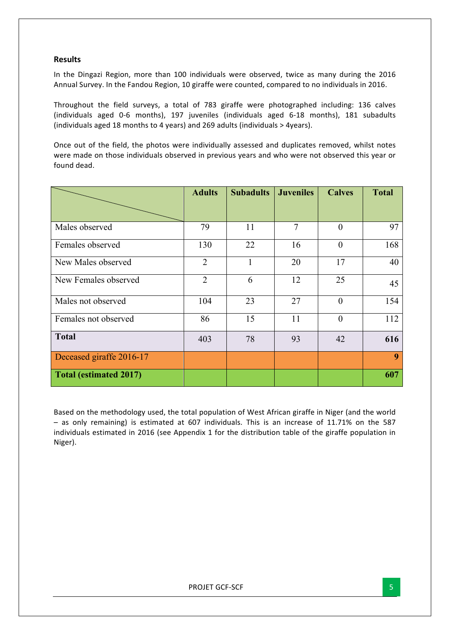# **Results**

In the Dingazi Region, more than 100 individuals were observed, twice as many during the 2016 Annual Survey. In the Fandou Region, 10 giraffe were counted, compared to no individuals in 2016.

Throughout the field surveys, a total of 783 giraffe were photographed including: 136 calves (individuals aged 0-6 months), 197 juveniles (individuals aged 6-18 months), 181 subadults (individuals aged 18 months to 4 years) and 269 adults (individuals  $>$  4years).

Once out of the field, the photos were individually assessed and duplicates removed, whilst notes were made on those individuals observed in previous years and who were not observed this year or found dead.

|                               | <b>Adults</b>  | <b>Subadults</b> | <b>Juveniles</b> | <b>Calves</b>  | <b>Total</b> |
|-------------------------------|----------------|------------------|------------------|----------------|--------------|
|                               |                |                  |                  |                |              |
| Males observed                | 79             | 11               | 7                | $\mathbf{0}$   | 97           |
| Females observed              | 130            | 22               | 16               | $\overline{0}$ | 168          |
| New Males observed            | $\overline{2}$ | $\mathbf{1}$     | 20               | 17             | 40           |
| New Females observed          | $\overline{2}$ | 6                | 12               | 25             | 45           |
| Males not observed            | 104            | 23               | 27               | $\mathbf{0}$   | 154          |
| Females not observed          | 86             | 15               | 11               | $\theta$       | 112          |
| <b>Total</b>                  | 403            | 78               | 93               | 42             | 616          |
| Deceased giraffe 2016-17      |                |                  |                  |                | 9            |
| <b>Total (estimated 2017)</b> |                |                  |                  |                | 607          |

Based on the methodology used, the total population of West African giraffe in Niger (and the world  $-$  as only remaining) is estimated at 607 individuals. This is an increase of 11.71% on the 587 individuals estimated in 2016 (see Appendix 1 for the distribution table of the giraffe population in Niger).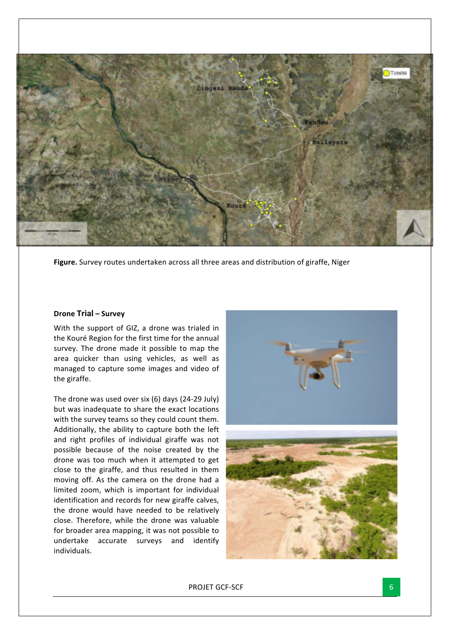

**Figure.** Survey routes undertaken across all three areas and distribution of giraffe, Niger

#### **Drone Trial – Survey**

With the support of GIZ, a drone was trialed in the Kouré Region for the first time for the annual survey. The drone made it possible to map the area quicker than using vehicles, as well as managed to capture some images and video of the giraffe.

The drone was used over six  $(6)$  days  $(24-29$  July) but was inadequate to share the exact locations with the survey teams so they could count them. Additionally, the ability to capture both the left and right profiles of individual giraffe was not possible because of the noise created by the drone was too much when it attempted to get close to the giraffe, and thus resulted in them moving off. As the camera on the drone had a limited zoom, which is important for individual identification and records for new giraffe calves, the drone would have needed to be relatively close. Therefore, while the drone was valuable for broader area mapping, it was not possible to undertake accurate surveys and identify individuals.



PROJET GCF-SCF 6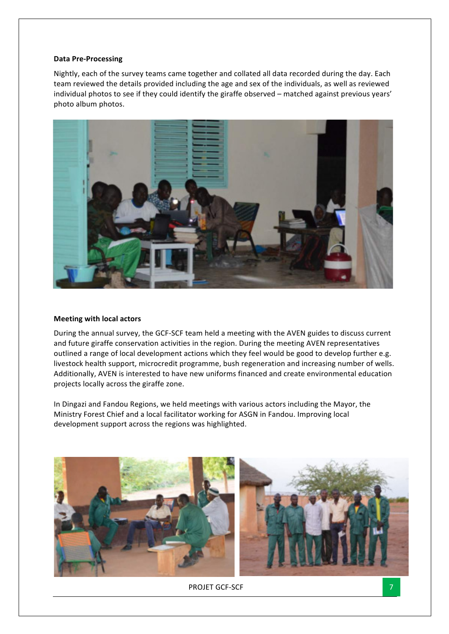### **Data Pre-Processing**

Nightly, each of the survey teams came together and collated all data recorded during the day. Each team reviewed the details provided including the age and sex of the individuals, as well as reviewed individual photos to see if they could identify the giraffe observed - matched against previous years' photo album photos.



#### **Meeting with local actors**

During the annual survey, the GCF-SCF team held a meeting with the AVEN guides to discuss current and future giraffe conservation activities in the region. During the meeting AVEN representatives outlined a range of local development actions which they feel would be good to develop further e.g. livestock health support, microcredit programme, bush regeneration and increasing number of wells. Additionally, AVEN is interested to have new uniforms financed and create environmental education projects locally across the giraffe zone.

In Dingazi and Fandou Regions, we held meetings with various actors including the Mayor, the Ministry Forest Chief and a local facilitator working for ASGN in Fandou. Improving local development support across the regions was highlighted.



PROJET GCF-SCF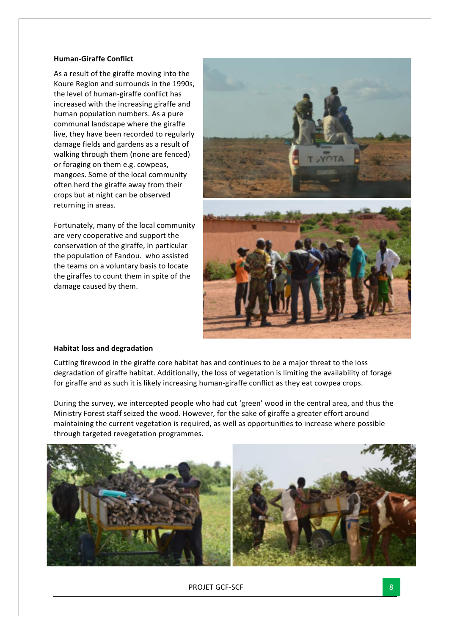## **Human-Giraffe Conflict**

As a result of the giraffe moving into the Koure Region and surrounds in the 1990s, the level of human-giraffe conflict has increased with the increasing giraffe and human population numbers. As a pure communal landscape where the giraffe live, they have been recorded to regularly damage fields and gardens as a result of walking through them (none are fenced) or foraging on them e.g. cowpeas. mangoes. Some of the local community often herd the giraffe away from their crops but at night can be observed returning in areas.

Fortunately, many of the local community are very cooperative and support the conservation of the giraffe, in particular the population of Fandou. who assisted the teams on a voluntary basis to locate the giraffes to count them in spite of the damage caused by them.



#### **Habitat loss and degradation**

Cutting firewood in the giraffe core habitat has and continues to be a major threat to the loss degradation of giraffe habitat. Additionally, the loss of vegetation is limiting the availability of forage for giraffe and as such it is likely increasing human-giraffe conflict as they eat cowpea crops.

During the survey, we intercepted people who had cut 'green' wood in the central area, and thus the Ministry Forest staff seized the wood. However, for the sake of giraffe a greater effort around maintaining the current vegetation is required, as well as opportunities to increase where possible through targeted revegetation programmes.



PROJET GCF-SCF 8